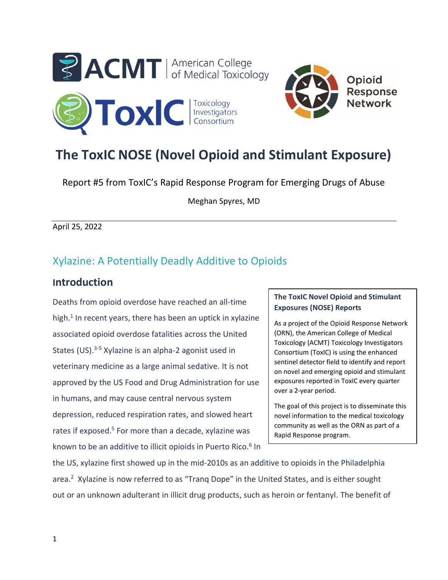



# **The ToxIC NOSE (Novel Opioid and Stimulant Exposure)**

Report #5 from ToxIC's Rapid Response Program for Emerging Drugs of Abuse

Meghan Spyres, MD

April 25, 2022

## Xylazine: A Potentially Deadly Additive to Opioids

## **Introduction**

Deaths from opioid overdose have reached an all-time high. 1 In recent years, there has been an uptick in xylazine associated opioid overdose fatalities across the United States (US).<sup>3-5</sup> Xylazine is an alpha-2 agonist used in veterinary medicine as a large animal sedative. It is not approved by the US Food and Drug Administration for use in humans, and may cause central nervous system depression, reduced respiration rates, and slowed heart rates if exposed.<sup>5</sup> For more than a decade, xylazine was known to be an additive to illicit opioids in Puerto Rico.<sup>6</sup> In

#### **The ToxIC Novel Opioid and Stimulant Exposures (NOSE) Reports**

As a project of the Opioid Response Network (ORN), the American College of Medical Toxicology (ACMT) Toxicology Investigators Consortium (ToxIC) is using the enhanced sentinel detector field to identify and report on novel and emerging opioid and stimulant exposures reported in ToxIC every quarter over a 2-year period.

The goal of this project is to disseminate this novel information to the medical toxicology community as well as the ORN as part of a Rapid Response program.

the US, xylazine first showed up in the mid-2010s as an additive to opioids in the Philadelphia area.<sup>2</sup> Xylazine is now referred to as "Tranq Dope" in the United States, and is either sought out or an unknown adulterant in illicit drug products, such as heroin or fentanyl. The benefit of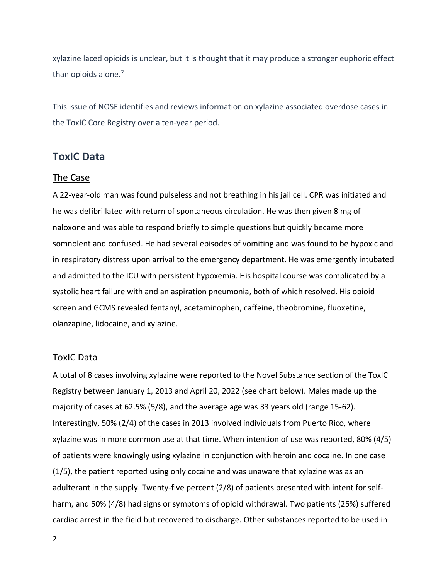xylazine laced opioids is unclear, but it is thought that it may produce a stronger euphoric effect than opioids alone. 7

This issue of NOSE identifies and reviews information on xylazine associated overdose cases in the ToxIC Core Registry over a ten-year period.

## **ToxIC Data**

#### The Case

A 22-year-old man was found pulseless and not breathing in his jail cell. CPR was initiated and he was defibrillated with return of spontaneous circulation. He was then given 8 mg of naloxone and was able to respond briefly to simple questions but quickly became more somnolent and confused. He had several episodes of vomiting and was found to be hypoxic and in respiratory distress upon arrival to the emergency department. He was emergently intubated and admitted to the ICU with persistent hypoxemia. His hospital course was complicated by a systolic heart failure with and an aspiration pneumonia, both of which resolved. His opioid screen and GCMS revealed fentanyl, acetaminophen, caffeine, theobromine, fluoxetine, olanzapine, lidocaine, and xylazine.

#### ToxIC Data

A total of 8 cases involving xylazine were reported to the Novel Substance section of the ToxIC Registry between January 1, 2013 and April 20, 2022 (see chart below). Males made up the majority of cases at 62.5% (5/8), and the average age was 33 years old (range 15-62). Interestingly, 50% (2/4) of the cases in 2013 involved individuals from Puerto Rico, where xylazine was in more common use at that time. When intention of use was reported, 80% (4/5) of patients were knowingly using xylazine in conjunction with heroin and cocaine. In one case (1/5), the patient reported using only cocaine and was unaware that xylazine was as an adulterant in the supply. Twenty-five percent (2/8) of patients presented with intent for selfharm, and 50% (4/8) had signs or symptoms of opioid withdrawal. Two patients (25%) suffered cardiac arrest in the field but recovered to discharge. Other substances reported to be used in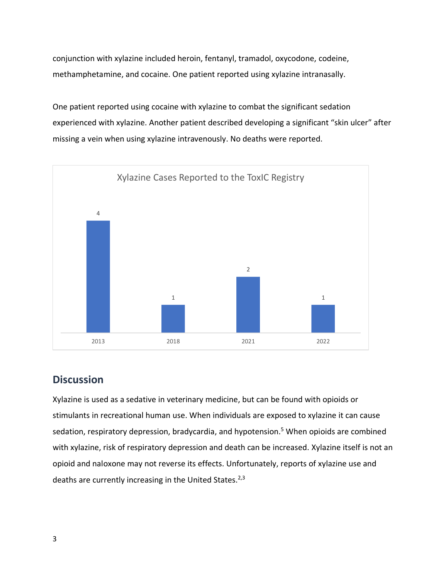conjunction with xylazine included heroin, fentanyl, tramadol, oxycodone, codeine, methamphetamine, and cocaine. One patient reported using xylazine intranasally.

One patient reported using cocaine with xylazine to combat the significant sedation experienced with xylazine. Another patient described developing a significant "skin ulcer" after missing a vein when using xylazine intravenously. No deaths were reported.



## **Discussion**

Xylazine is used as a sedative in veterinary medicine, but can be found with opioids or stimulants in recreational human use. When individuals are exposed to xylazine it can cause sedation, respiratory depression, bradycardia, and hypotension.<sup>5</sup> When opioids are combined with xylazine, risk of respiratory depression and death can be increased. Xylazine itself is not an opioid and naloxone may not reverse its effects. Unfortunately, reports of xylazine use and deaths are currently increasing in the United States.<sup>2,3</sup>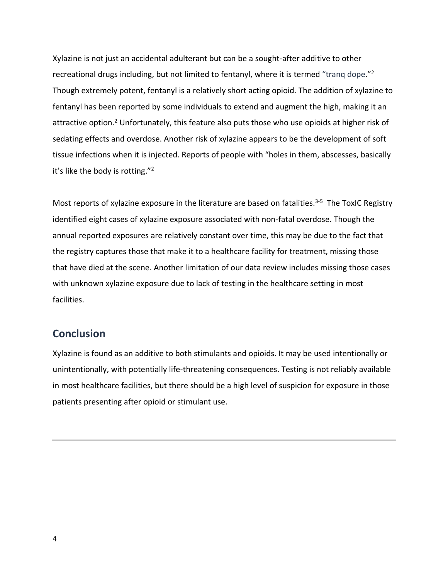Xylazine is not just an accidental adulterant but can be a sought-after additive to other recreational drugs including, but not limited to fentanyl, where it is termed "tranq dope."<sup>2</sup> Though extremely potent, fentanyl is a relatively short acting opioid. The addition of xylazine to fentanyl has been reported by some individuals to extend and augment the high, making it an attractive option.<sup>2</sup> Unfortunately, this feature also puts those who use opioids at higher risk of sedating effects and overdose. Another risk of xylazine appears to be the development of soft tissue infections when it is injected. Reports of people with "holes in them, abscesses, basically it's like the body is rotting."<sup>2</sup>

Most reports of xylazine exposure in the literature are based on fatalities.<sup>3-5</sup> The ToxIC Registry identified eight cases of xylazine exposure associated with non-fatal overdose. Though the annual reported exposures are relatively constant over time, this may be due to the fact that the registry captures those that make it to a healthcare facility for treatment, missing those that have died at the scene. Another limitation of our data review includes missing those cases with unknown xylazine exposure due to lack of testing in the healthcare setting in most facilities.

## **Conclusion**

Xylazine is found as an additive to both stimulants and opioids. It may be used intentionally or unintentionally, with potentially life-threatening consequences. Testing is not reliably available in most healthcare facilities, but there should be a high level of suspicion for exposure in those patients presenting after opioid or stimulant use.